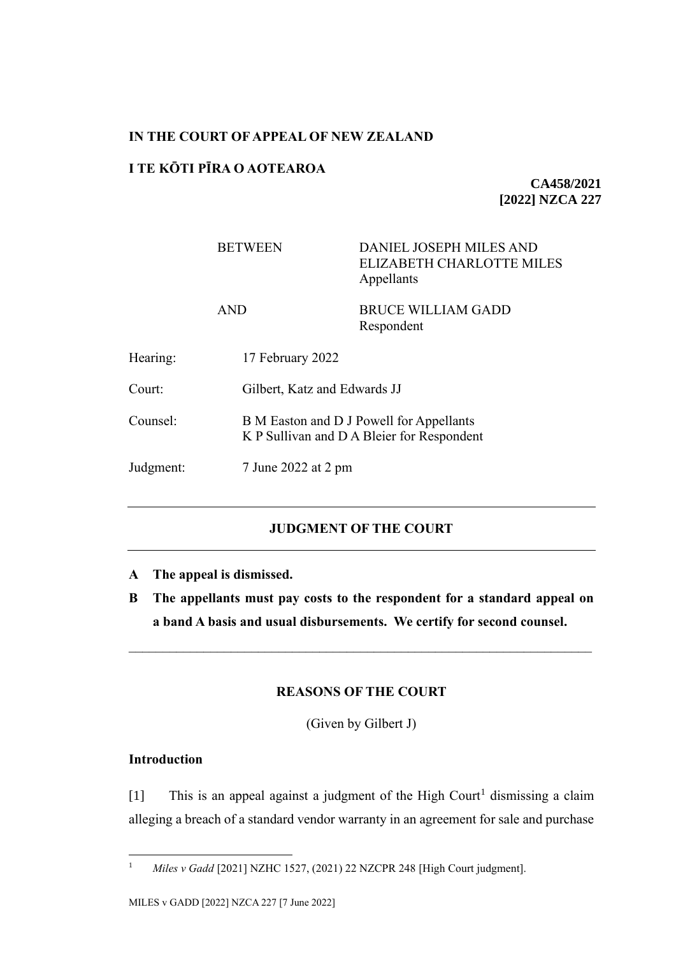## **IN THE COURT OF APPEAL OF NEW ZEALAND**

# **I TE KŌTI PĪRA O AOTEAROA**

**CA458/2021 [2022] NZCA 227**

|           | <b>BETWEEN</b>                                                                         | <b>DANIEL JOSEPH MILES AND</b><br><b>ELIZABETH CHARLOTTE MILES</b><br>Appellants |  |
|-----------|----------------------------------------------------------------------------------------|----------------------------------------------------------------------------------|--|
|           | <b>AND</b>                                                                             | <b>BRUCE WILLIAM GADD</b><br>Respondent                                          |  |
| Hearing:  | 17 February 2022                                                                       |                                                                                  |  |
| Court:    | Gilbert, Katz and Edwards JJ                                                           |                                                                                  |  |
| Counsel:  | B M Easton and D J Powell for Appellants<br>K P Sullivan and D A Bleier for Respondent |                                                                                  |  |
| Judgment: |                                                                                        | 7 June 2022 at 2 pm                                                              |  |
|           |                                                                                        |                                                                                  |  |

# **JUDGMENT OF THE COURT**

- **A The appeal is dismissed.**
- **B The appellants must pay costs to the respondent for a standard appeal on a band A basis and usual disbursements. We certify for second counsel.**

### **REASONS OF THE COURT**

(Given by Gilbert J)

# **Introduction**

[1] This is an appeal against a judgment of the High Court<sup>1</sup> dismissing a claim alleging a breach of a standard vendor warranty in an agreement for sale and purchase

<sup>1</sup> *Miles v Gadd* [2021] NZHC 1527, (2021) 22 NZCPR 248 [High Court judgment].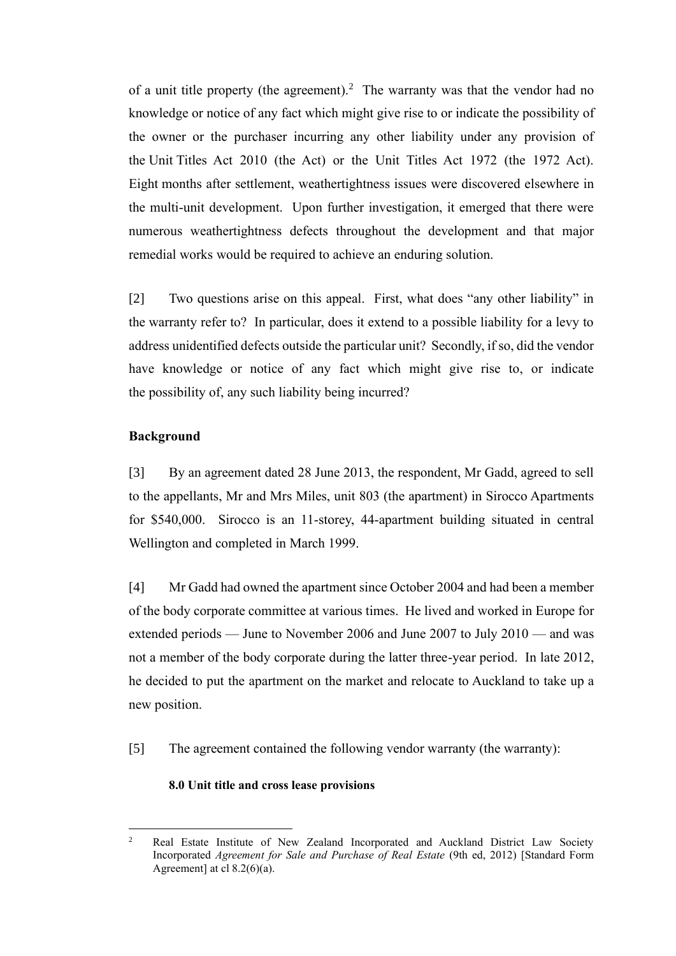of a unit title property (the agreement).<sup>2</sup> The warranty was that the vendor had no knowledge or notice of any fact which might give rise to or indicate the possibility of the owner or the purchaser incurring any other liability under any provision of the Unit Titles Act 2010 (the Act) or the Unit Titles Act 1972 (the 1972 Act). Eight months after settlement, weathertightness issues were discovered elsewhere in the multi-unit development. Upon further investigation, it emerged that there were numerous weathertightness defects throughout the development and that major remedial works would be required to achieve an enduring solution.

[2] Two questions arise on this appeal. First, what does "any other liability" in the warranty refer to? In particular, does it extend to a possible liability for a levy to address unidentified defects outside the particular unit? Secondly, if so, did the vendor have knowledge or notice of any fact which might give rise to, or indicate the possibility of, any such liability being incurred?

### **Background**

[3] By an agreement dated 28 June 2013, the respondent, Mr Gadd, agreed to sell to the appellants, Mr and Mrs Miles, unit 803 (the apartment) in Sirocco Apartments for \$540,000. Sirocco is an 11-storey, 44-apartment building situated in central Wellington and completed in March 1999.

[4] Mr Gadd had owned the apartment since October 2004 and had been a member of the body corporate committee at various times. He lived and worked in Europe for extended periods — June to November 2006 and June 2007 to July 2010 — and was not a member of the body corporate during the latter three-year period. In late 2012, he decided to put the apartment on the market and relocate to Auckland to take up a new position.

[5] The agreement contained the following vendor warranty (the warranty):

### **8.0 Unit title and cross lease provisions**

<sup>&</sup>lt;sup>2</sup> Real Estate Institute of New Zealand Incorporated and Auckland District Law Society Incorporated *Agreement for Sale and Purchase of Real Estate* (9th ed, 2012) [Standard Form Agreement] at cl  $8.2(6)(a)$ .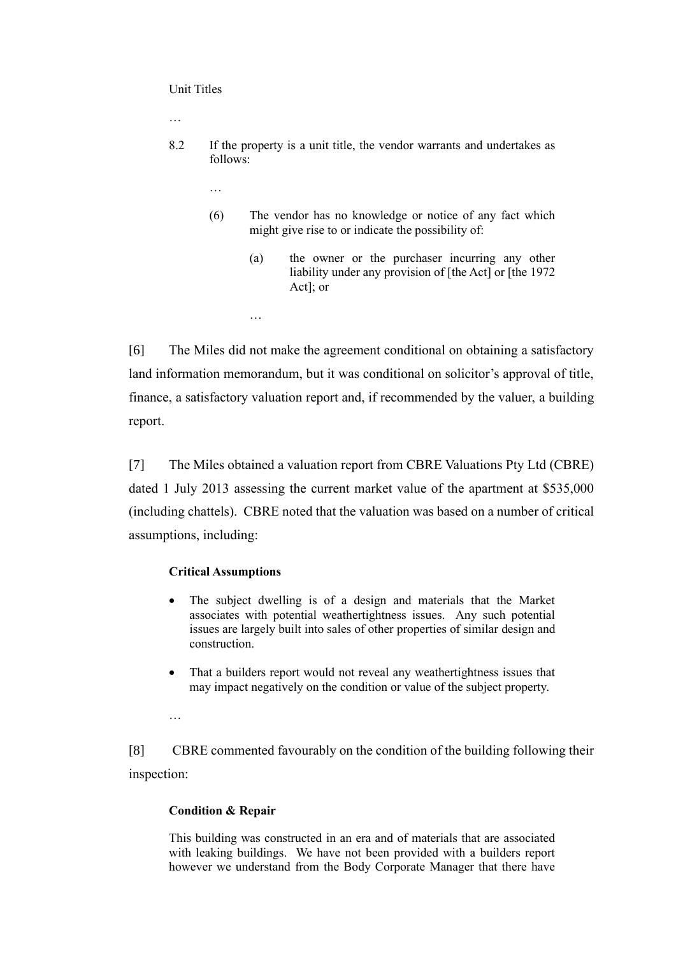#### Unit Titles

…

- 8.2 If the property is a unit title, the vendor warrants and undertakes as follows:
	- …
	- (6) The vendor has no knowledge or notice of any fact which might give rise to or indicate the possibility of:
		- (a) the owner or the purchaser incurring any other liability under any provision of [the Act] or [the 1972] Act]; or

…

[6] The Miles did not make the agreement conditional on obtaining a satisfactory land information memorandum, but it was conditional on solicitor's approval of title, finance, a satisfactory valuation report and, if recommended by the valuer, a building report.

[7] The Miles obtained a valuation report from CBRE Valuations Pty Ltd (CBRE) dated 1 July 2013 assessing the current market value of the apartment at \$535,000 (including chattels). CBRE noted that the valuation was based on a number of critical assumptions, including:

#### **Critical Assumptions**

- The subject dwelling is of a design and materials that the Market associates with potential weathertightness issues. Any such potential issues are largely built into sales of other properties of similar design and construction.
- That a builders report would not reveal any weathertightness issues that may impact negatively on the condition or value of the subject property.

…

[8] CBRE commented favourably on the condition of the building following their inspection:

#### **Condition & Repair**

This building was constructed in an era and of materials that are associated with leaking buildings. We have not been provided with a builders report however we understand from the Body Corporate Manager that there have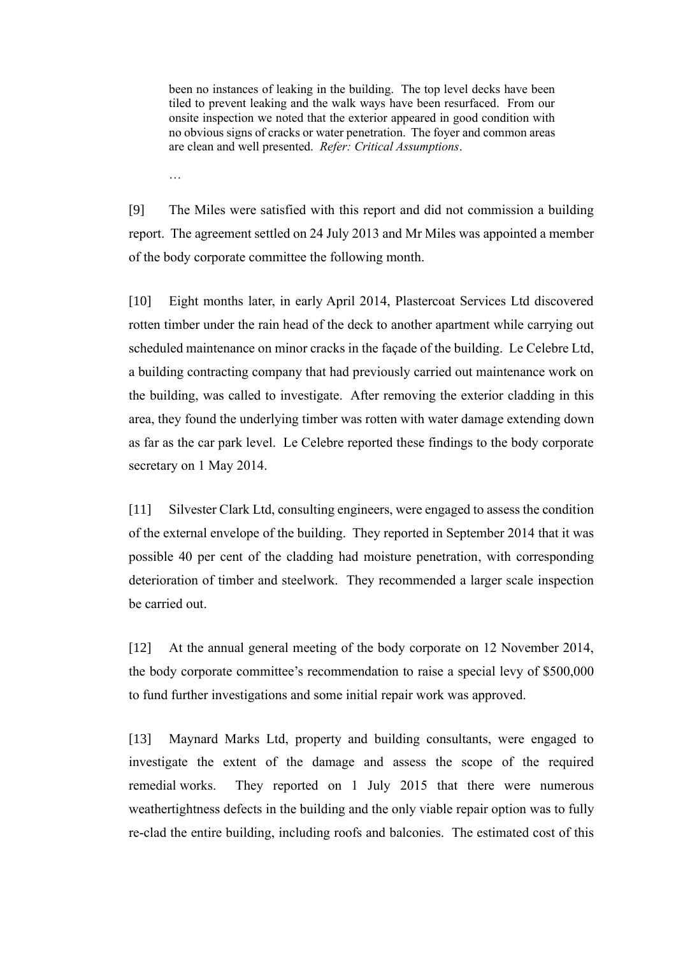been no instances of leaking in the building. The top level decks have been tiled to prevent leaking and the walk ways have been resurfaced. From our onsite inspection we noted that the exterior appeared in good condition with no obvious signs of cracks or water penetration. The foyer and common areas are clean and well presented. *Refer: Critical Assumptions*.

[9] The Miles were satisfied with this report and did not commission a building report. The agreement settled on 24 July 2013 and Mr Miles was appointed a member of the body corporate committee the following month.

…

[10] Eight months later, in early April 2014, Plastercoat Services Ltd discovered rotten timber under the rain head of the deck to another apartment while carrying out scheduled maintenance on minor cracks in the façade of the building. Le Celebre Ltd, a building contracting company that had previously carried out maintenance work on the building, was called to investigate. After removing the exterior cladding in this area, they found the underlying timber was rotten with water damage extending down as far as the car park level. Le Celebre reported these findings to the body corporate secretary on 1 May 2014.

[11] Silvester Clark Ltd, consulting engineers, were engaged to assess the condition of the external envelope of the building. They reported in September 2014 that it was possible 40 per cent of the cladding had moisture penetration, with corresponding deterioration of timber and steelwork. They recommended a larger scale inspection be carried out.

[12] At the annual general meeting of the body corporate on 12 November 2014, the body corporate committee's recommendation to raise a special levy of \$500,000 to fund further investigations and some initial repair work was approved.

[13] Maynard Marks Ltd, property and building consultants, were engaged to investigate the extent of the damage and assess the scope of the required remedial works. They reported on 1 July 2015 that there were numerous weathertightness defects in the building and the only viable repair option was to fully re-clad the entire building, including roofs and balconies. The estimated cost of this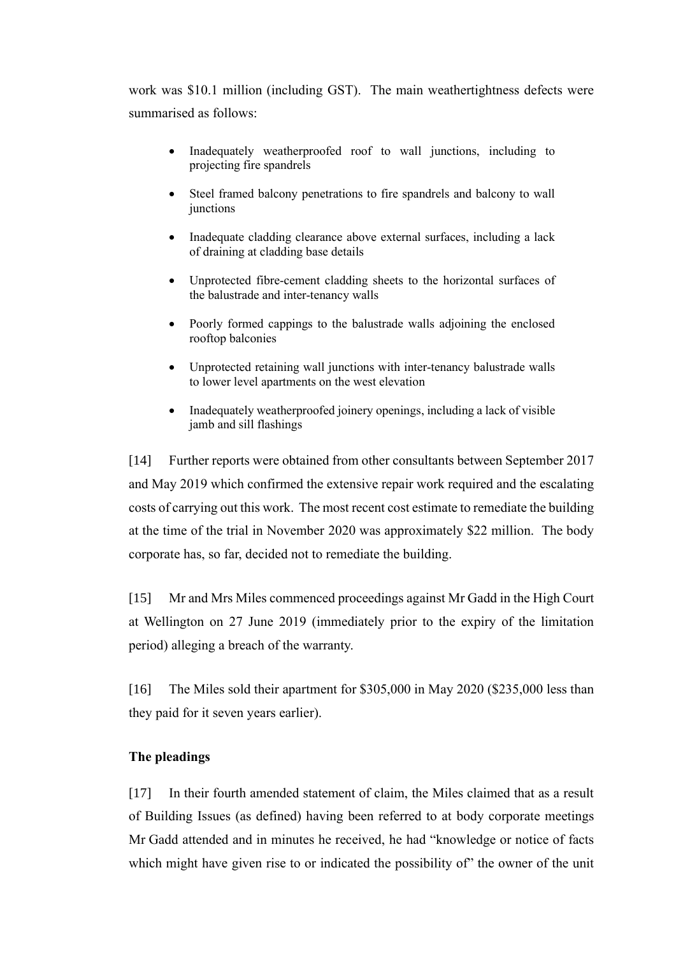work was \$10.1 million (including GST). The main weathertightness defects were summarised as follows:

- Inadequately weatherproofed roof to wall junctions, including to projecting fire spandrels
- Steel framed balcony penetrations to fire spandrels and balcony to wall junctions
- Inadequate cladding clearance above external surfaces, including a lack of draining at cladding base details
- Unprotected fibre-cement cladding sheets to the horizontal surfaces of the balustrade and inter-tenancy walls
- Poorly formed cappings to the balustrade walls adjoining the enclosed rooftop balconies
- Unprotected retaining wall junctions with inter-tenancy balustrade walls to lower level apartments on the west elevation
- Inadequately weatherproofed joinery openings, including a lack of visible jamb and sill flashings

[14] Further reports were obtained from other consultants between September 2017 and May 2019 which confirmed the extensive repair work required and the escalating costs of carrying out this work. The most recent cost estimate to remediate the building at the time of the trial in November 2020 was approximately \$22 million. The body corporate has, so far, decided not to remediate the building.

[15] Mr and Mrs Miles commenced proceedings against Mr Gadd in the High Court at Wellington on 27 June 2019 (immediately prior to the expiry of the limitation period) alleging a breach of the warranty.

[16] The Miles sold their apartment for \$305,000 in May 2020 (\$235,000 less than they paid for it seven years earlier).

### **The pleadings**

[17] In their fourth amended statement of claim, the Miles claimed that as a result of Building Issues (as defined) having been referred to at body corporate meetings Mr Gadd attended and in minutes he received, he had "knowledge or notice of facts which might have given rise to or indicated the possibility of" the owner of the unit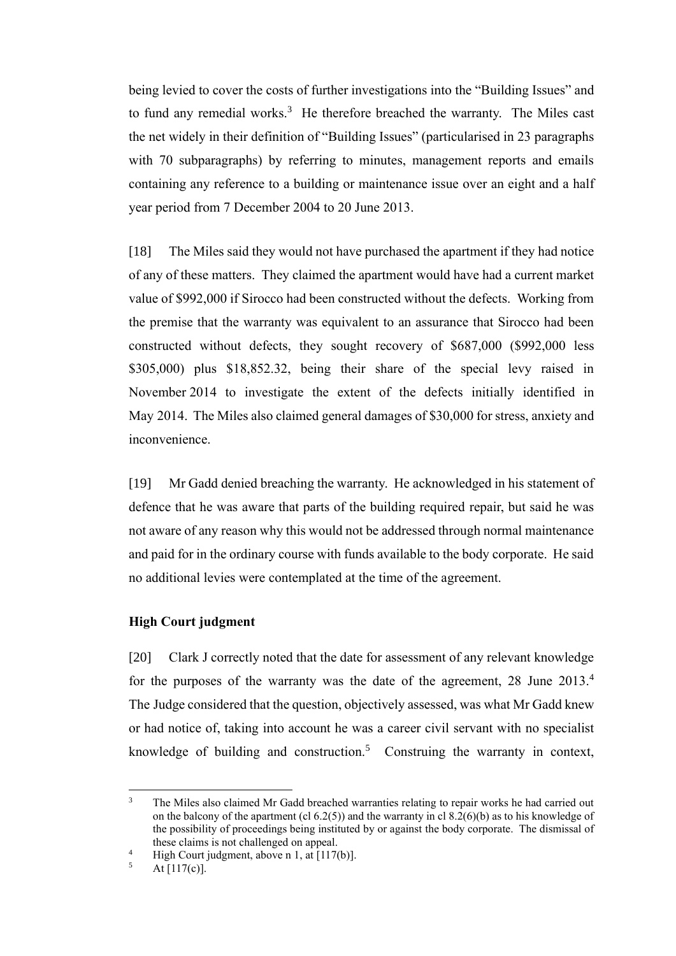being levied to cover the costs of further investigations into the "Building Issues" and to fund any remedial works. $3$  He therefore breached the warranty. The Miles cast the net widely in their definition of "Building Issues" (particularised in 23 paragraphs with 70 subparagraphs) by referring to minutes, management reports and emails containing any reference to a building or maintenance issue over an eight and a half year period from 7 December 2004 to 20 June 2013.

[18] The Miles said they would not have purchased the apartment if they had notice of any of these matters. They claimed the apartment would have had a current market value of \$992,000 if Sirocco had been constructed without the defects. Working from the premise that the warranty was equivalent to an assurance that Sirocco had been constructed without defects, they sought recovery of \$687,000 (\$992,000 less \$305,000) plus \$18,852.32, being their share of the special levy raised in November 2014 to investigate the extent of the defects initially identified in May 2014. The Miles also claimed general damages of \$30,000 for stress, anxiety and inconvenience.

[19] Mr Gadd denied breaching the warranty. He acknowledged in his statement of defence that he was aware that parts of the building required repair, but said he was not aware of any reason why this would not be addressed through normal maintenance and paid for in the ordinary course with funds available to the body corporate. He said no additional levies were contemplated at the time of the agreement.

### **High Court judgment**

[20] Clark J correctly noted that the date for assessment of any relevant knowledge for the purposes of the warranty was the date of the agreement, 28 June 2013.<sup>4</sup> The Judge considered that the question, objectively assessed, was what Mr Gadd knew or had notice of, taking into account he was a career civil servant with no specialist knowledge of building and construction.<sup>5</sup> Construing the warranty in context,

<sup>3</sup> The Miles also claimed Mr Gadd breached warranties relating to repair works he had carried out on the balcony of the apartment (cl  $(6.2(5))$ ) and the warranty in cl  $(8.2(6)(b))$  as to his knowledge of the possibility of proceedings being instituted by or against the body corporate. The dismissal of these claims is not challenged on appeal.

<sup>&</sup>lt;sup>4</sup> High Court judgment, above n 1, at [117(b)].

At  $[117(c)].$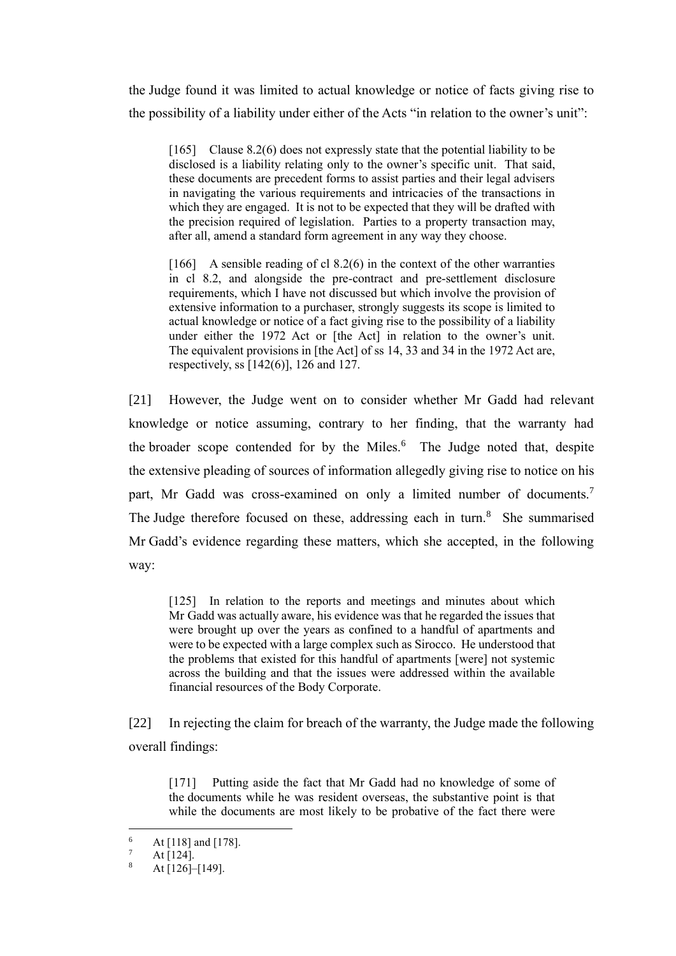the Judge found it was limited to actual knowledge or notice of facts giving rise to the possibility of a liability under either of the Acts "in relation to the owner's unit":

[165] Clause 8.2(6) does not expressly state that the potential liability to be disclosed is a liability relating only to the owner's specific unit. That said, these documents are precedent forms to assist parties and their legal advisers in navigating the various requirements and intricacies of the transactions in which they are engaged. It is not to be expected that they will be drafted with the precision required of legislation. Parties to a property transaction may, after all, amend a standard form agreement in any way they choose.

[166] A sensible reading of cl 8.2(6) in the context of the other warranties in cl 8.2, and alongside the pre-contract and pre-settlement disclosure requirements, which I have not discussed but which involve the provision of extensive information to a purchaser, strongly suggests its scope is limited to actual knowledge or notice of a fact giving rise to the possibility of a liability under either the 1972 Act or [the Act] in relation to the owner's unit. The equivalent provisions in [the Act] of ss 14, 33 and 34 in the 1972 Act are, respectively, ss [142(6)], 126 and 127.

[21] However, the Judge went on to consider whether Mr Gadd had relevant knowledge or notice assuming, contrary to her finding, that the warranty had the broader scope contended for by the Miles.<sup>6</sup> The Judge noted that, despite the extensive pleading of sources of information allegedly giving rise to notice on his part, Mr Gadd was cross-examined on only a limited number of documents.<sup>7</sup> The Judge therefore focused on these, addressing each in turn.<sup>8</sup> She summarised Mr Gadd's evidence regarding these matters, which she accepted, in the following way:

[125] In relation to the reports and meetings and minutes about which Mr Gadd was actually aware, his evidence was that he regarded the issues that were brought up over the years as confined to a handful of apartments and were to be expected with a large complex such as Sirocco. He understood that the problems that existed for this handful of apartments [were] not systemic across the building and that the issues were addressed within the available financial resources of the Body Corporate.

[22] In rejecting the claim for breach of the warranty, the Judge made the following overall findings:

[171] Putting aside the fact that Mr Gadd had no knowledge of some of the documents while he was resident overseas, the substantive point is that while the documents are most likely to be probative of the fact there were

 $^{6}$  At [118] and [178].

 $\frac{7}{8}$  At [124].

At [126]–[149].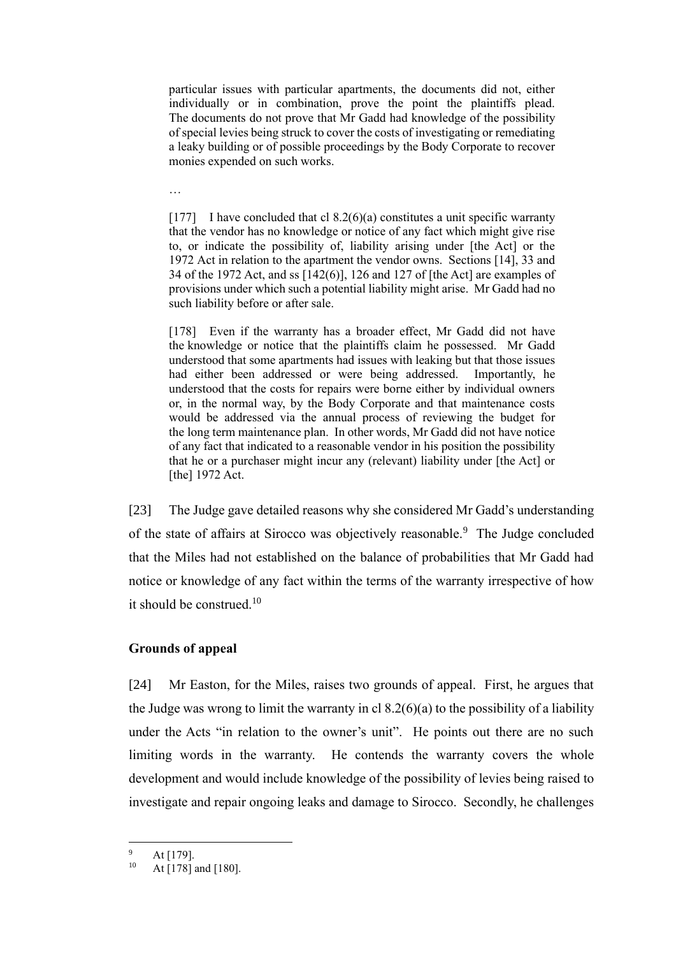particular issues with particular apartments, the documents did not, either individually or in combination, prove the point the plaintiffs plead. The documents do not prove that Mr Gadd had knowledge of the possibility of special levies being struck to cover the costs of investigating or remediating a leaky building or of possible proceedings by the Body Corporate to recover monies expended on such works.

…

[177] I have concluded that cl  $8.2(6)(a)$  constitutes a unit specific warranty that the vendor has no knowledge or notice of any fact which might give rise to, or indicate the possibility of, liability arising under [the Act] or the 1972 Act in relation to the apartment the vendor owns. Sections [14], 33 and 34 of the 1972 Act, and ss [142(6)], 126 and 127 of [the Act] are examples of provisions under which such a potential liability might arise. Mr Gadd had no such liability before or after sale.

[178] Even if the warranty has a broader effect, Mr Gadd did not have the knowledge or notice that the plaintiffs claim he possessed. Mr Gadd understood that some apartments had issues with leaking but that those issues had either been addressed or were being addressed. Importantly, he understood that the costs for repairs were borne either by individual owners or, in the normal way, by the Body Corporate and that maintenance costs would be addressed via the annual process of reviewing the budget for the long term maintenance plan. In other words, Mr Gadd did not have notice of any fact that indicated to a reasonable vendor in his position the possibility that he or a purchaser might incur any (relevant) liability under [the Act] or [the] 1972 Act.

[23] The Judge gave detailed reasons why she considered Mr Gadd's understanding of the state of affairs at Sirocco was objectively reasonable.<sup>9</sup> The Judge concluded that the Miles had not established on the balance of probabilities that Mr Gadd had notice or knowledge of any fact within the terms of the warranty irrespective of how it should be construed.<sup>10</sup>

### **Grounds of appeal**

[24] Mr Easton, for the Miles, raises two grounds of appeal. First, he argues that the Judge was wrong to limit the warranty in cl  $8.2(6)(a)$  to the possibility of a liability under the Acts "in relation to the owner's unit". He points out there are no such limiting words in the warranty. He contends the warranty covers the whole development and would include knowledge of the possibility of levies being raised to investigate and repair ongoing leaks and damage to Sirocco. Secondly, he challenges

 $^{9}$  At [179].

At [178] and [180].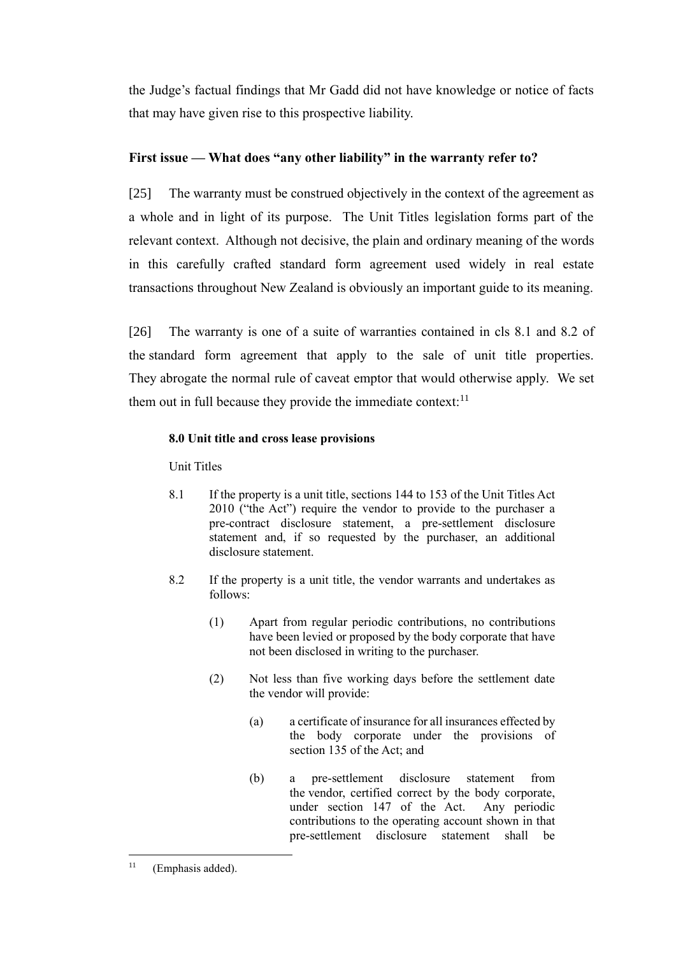the Judge's factual findings that Mr Gadd did not have knowledge or notice of facts that may have given rise to this prospective liability.

# **First issue — What does "any other liability" in the warranty refer to?**

[25] The warranty must be construed objectively in the context of the agreement as a whole and in light of its purpose. The Unit Titles legislation forms part of the relevant context. Although not decisive, the plain and ordinary meaning of the words in this carefully crafted standard form agreement used widely in real estate transactions throughout New Zealand is obviously an important guide to its meaning.

[26] The warranty is one of a suite of warranties contained in cls 8.1 and 8.2 of the standard form agreement that apply to the sale of unit title properties. They abrogate the normal rule of caveat emptor that would otherwise apply. We set them out in full because they provide the immediate context: $11$ 

# **8.0 Unit title and cross lease provisions**

Unit Titles

- 8.1 If the property is a unit title, sections 144 to 153 of the Unit Titles Act 2010 ("the Act") require the vendor to provide to the purchaser a pre-contract disclosure statement, a pre-settlement disclosure statement and, if so requested by the purchaser, an additional disclosure statement.
- 8.2 If the property is a unit title, the vendor warrants and undertakes as follows:
	- (1) Apart from regular periodic contributions, no contributions have been levied or proposed by the body corporate that have not been disclosed in writing to the purchaser.
	- (2) Not less than five working days before the settlement date the vendor will provide:
		- (a) a certificate of insurance for all insurances effected by the body corporate under the provisions of section 135 of the Act; and
		- (b) a pre-settlement disclosure statement from the vendor, certified correct by the body corporate, under section 147 of the Act. Any periodic contributions to the operating account shown in that pre-settlement disclosure statement shall be

<sup>&</sup>lt;sup>11</sup> (Emphasis added).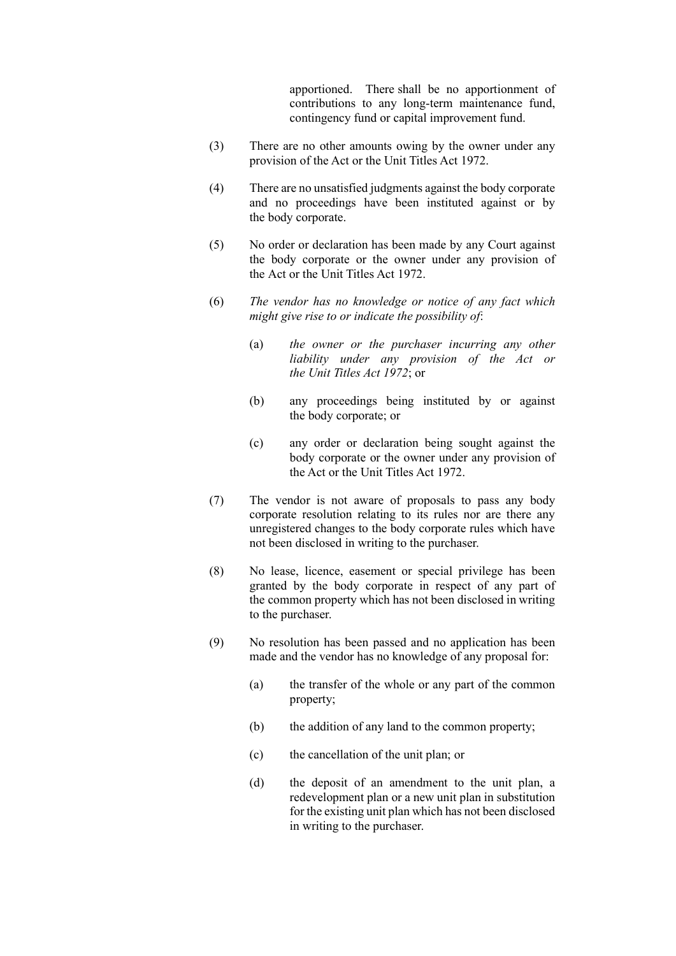apportioned. There shall be no apportionment of contributions to any long-term maintenance fund, contingency fund or capital improvement fund.

- (3) There are no other amounts owing by the owner under any provision of the Act or the Unit Titles Act 1972.
- (4) There are no unsatisfied judgments against the body corporate and no proceedings have been instituted against or by the body corporate.
- (5) No order or declaration has been made by any Court against the body corporate or the owner under any provision of the Act or the Unit Titles Act 1972.
- (6) *The vendor has no knowledge or notice of any fact which might give rise to or indicate the possibility of*:
	- (a) *the owner or the purchaser incurring any other liability under any provision of the Act or the Unit Titles Act 1972*; or
	- (b) any proceedings being instituted by or against the body corporate; or
	- (c) any order or declaration being sought against the body corporate or the owner under any provision of the Act or the Unit Titles Act 1972.
- (7) The vendor is not aware of proposals to pass any body corporate resolution relating to its rules nor are there any unregistered changes to the body corporate rules which have not been disclosed in writing to the purchaser.
- (8) No lease, licence, easement or special privilege has been granted by the body corporate in respect of any part of the common property which has not been disclosed in writing to the purchaser.
- (9) No resolution has been passed and no application has been made and the vendor has no knowledge of any proposal for:
	- (a) the transfer of the whole or any part of the common property;
	- (b) the addition of any land to the common property;
	- (c) the cancellation of the unit plan; or
	- (d) the deposit of an amendment to the unit plan, a redevelopment plan or a new unit plan in substitution for the existing unit plan which has not been disclosed in writing to the purchaser.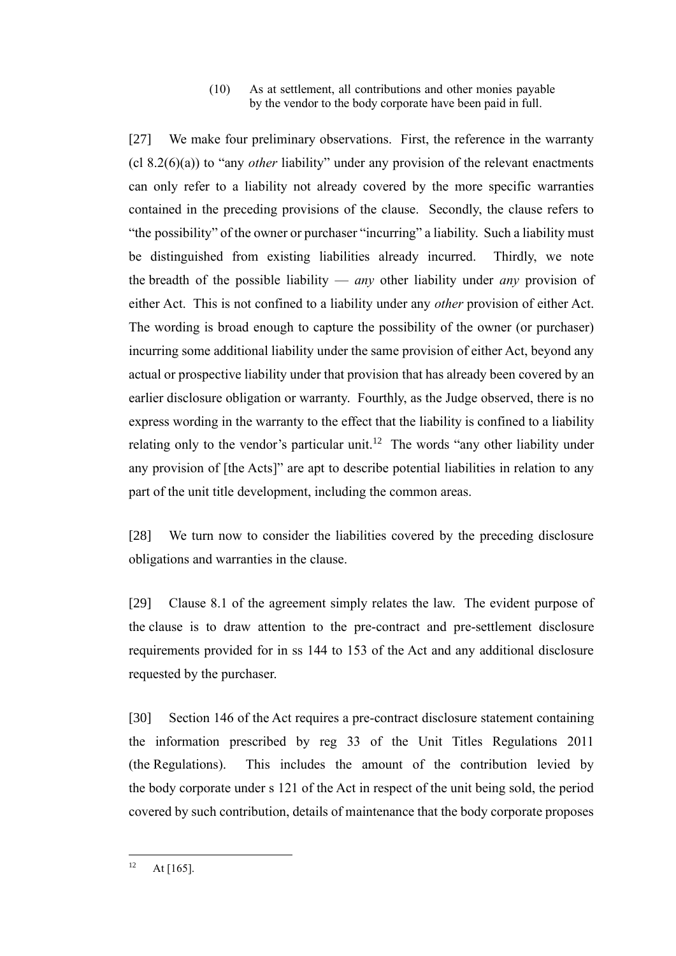#### (10) As at settlement, all contributions and other monies payable by the vendor to the body corporate have been paid in full.

[27] We make four preliminary observations. First, the reference in the warranty (cl 8.2(6)(a)) to "any *other* liability" under any provision of the relevant enactments can only refer to a liability not already covered by the more specific warranties contained in the preceding provisions of the clause. Secondly, the clause refers to "the possibility" of the owner or purchaser "incurring" a liability. Such a liability must be distinguished from existing liabilities already incurred. Thirdly, we note the breadth of the possible liability — *any* other liability under *any* provision of either Act. This is not confined to a liability under any *other* provision of either Act. The wording is broad enough to capture the possibility of the owner (or purchaser) incurring some additional liability under the same provision of either Act, beyond any actual or prospective liability under that provision that has already been covered by an earlier disclosure obligation or warranty. Fourthly, as the Judge observed, there is no express wording in the warranty to the effect that the liability is confined to a liability relating only to the vendor's particular unit.<sup>12</sup> The words "any other liability under any provision of [the Acts]" are apt to describe potential liabilities in relation to any part of the unit title development, including the common areas.

[28] We turn now to consider the liabilities covered by the preceding disclosure obligations and warranties in the clause.

[29] Clause 8.1 of the agreement simply relates the law. The evident purpose of the clause is to draw attention to the pre-contract and pre-settlement disclosure requirements provided for in ss 144 to 153 of the Act and any additional disclosure requested by the purchaser.

[30] Section 146 of the Act requires a pre-contract disclosure statement containing the information prescribed by reg 33 of the Unit Titles Regulations 2011 (the Regulations). This includes the amount of the contribution levied by the body corporate under s 121 of the Act in respect of the unit being sold, the period covered by such contribution, details of maintenance that the body corporate proposes

 $12$  At [165].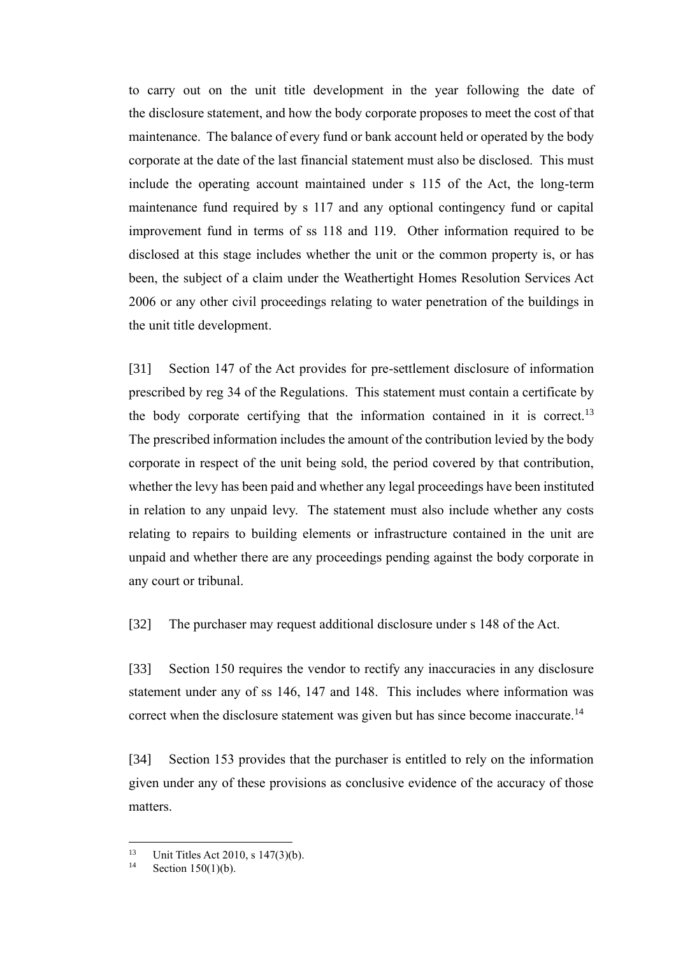to carry out on the unit title development in the year following the date of the disclosure statement, and how the body corporate proposes to meet the cost of that maintenance. The balance of every fund or bank account held or operated by the body corporate at the date of the last financial statement must also be disclosed. This must include the operating account maintained under s 115 of the Act, the long-term maintenance fund required by s 117 and any optional contingency fund or capital improvement fund in terms of ss 118 and 119. Other information required to be disclosed at this stage includes whether the unit or the common property is, or has been, the subject of a claim under the Weathertight Homes Resolution Services Act 2006 or any other civil proceedings relating to water penetration of the buildings in the unit title development.

[31] Section 147 of the Act provides for pre-settlement disclosure of information prescribed by reg 34 of the Regulations. This statement must contain a certificate by the body corporate certifying that the information contained in it is correct.<sup>13</sup> The prescribed information includes the amount of the contribution levied by the body corporate in respect of the unit being sold, the period covered by that contribution, whether the levy has been paid and whether any legal proceedings have been instituted in relation to any unpaid levy. The statement must also include whether any costs relating to repairs to building elements or infrastructure contained in the unit are unpaid and whether there are any proceedings pending against the body corporate in any court or tribunal.

[32] The purchaser may request additional disclosure under s 148 of the Act.

[33] Section 150 requires the vendor to rectify any inaccuracies in any disclosure statement under any of ss 146, 147 and 148. This includes where information was correct when the disclosure statement was given but has since become inaccurate.<sup>14</sup>

[34] Section 153 provides that the purchaser is entitled to rely on the information given under any of these provisions as conclusive evidence of the accuracy of those matters.

<sup>&</sup>lt;sup>13</sup> Unit Titles Act 2010, s 147(3)(b).<br><sup>14</sup> Soction 150(1)(b).

Section 150(1)(b).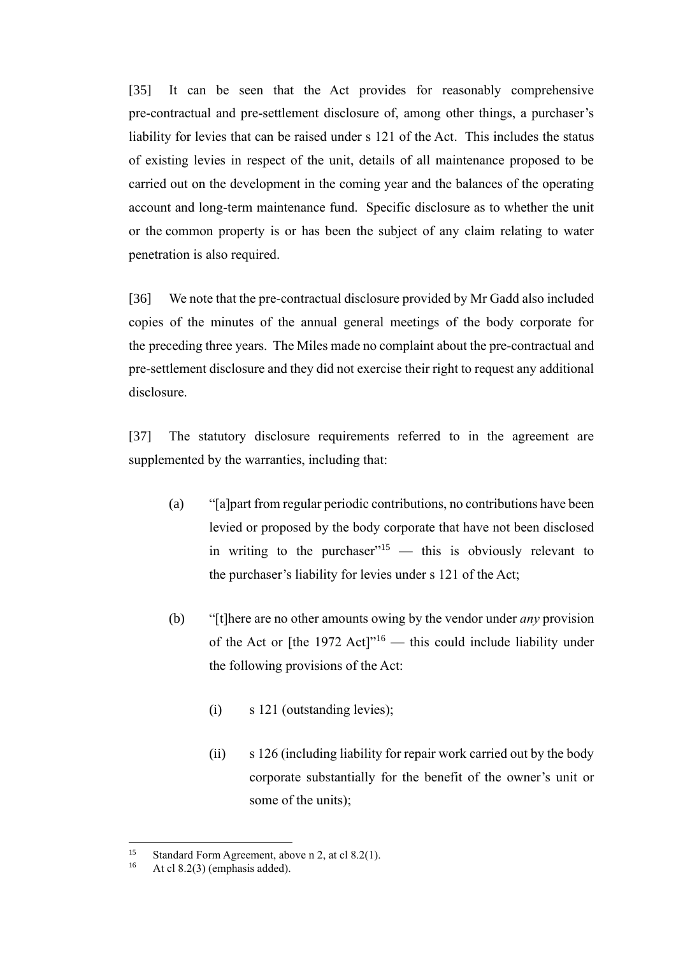[35] It can be seen that the Act provides for reasonably comprehensive pre-contractual and pre-settlement disclosure of, among other things, a purchaser's liability for levies that can be raised under s 121 of the Act. This includes the status of existing levies in respect of the unit, details of all maintenance proposed to be carried out on the development in the coming year and the balances of the operating account and long-term maintenance fund. Specific disclosure as to whether the unit or the common property is or has been the subject of any claim relating to water penetration is also required.

[36] We note that the pre-contractual disclosure provided by Mr Gadd also included copies of the minutes of the annual general meetings of the body corporate for the preceding three years. The Miles made no complaint about the pre-contractual and pre-settlement disclosure and they did not exercise their right to request any additional disclosure.

[37] The statutory disclosure requirements referred to in the agreement are supplemented by the warranties, including that:

- (a) "[a]part from regular periodic contributions, no contributions have been levied or proposed by the body corporate that have not been disclosed in writing to the purchaser"<sup>15</sup> — this is obviously relevant to the purchaser's liability for levies under s 121 of the Act;
- (b) "[t]here are no other amounts owing by the vendor under *any* provision of the Act or [the 1972 Act] $v<sup>16</sup>$  — this could include liability under the following provisions of the Act:
	- (i) s 121 (outstanding levies);
	- (ii) s 126 (including liability for repair work carried out by the body corporate substantially for the benefit of the owner's unit or some of the units);

<sup>&</sup>lt;sup>15</sup> Standard Form Agreement, above n 2, at cl 8.2(1).<br><sup>16</sup> At cl 8.2(3) (emphasis added)

At cl  $8.2(3)$  (emphasis added).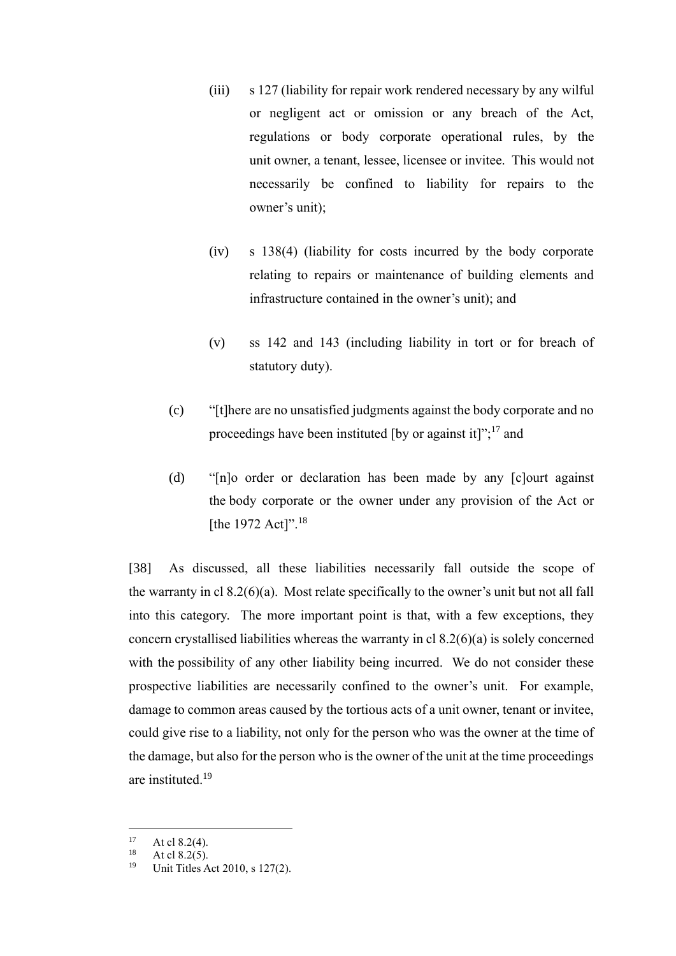- (iii) s 127 (liability for repair work rendered necessary by any wilful or negligent act or omission or any breach of the Act, regulations or body corporate operational rules, by the unit owner, a tenant, lessee, licensee or invitee. This would not necessarily be confined to liability for repairs to the owner's unit);
- (iv) s 138(4) (liability for costs incurred by the body corporate relating to repairs or maintenance of building elements and infrastructure contained in the owner's unit); and
- (v) ss 142 and 143 (including liability in tort or for breach of statutory duty).
- (c) "[t]here are no unsatisfied judgments against the body corporate and no proceedings have been instituted [by or against it]";<sup>17</sup> and
- (d) "[n]o order or declaration has been made by any [c]ourt against the body corporate or the owner under any provision of the Act or [the 1972 Act]".<sup>18</sup>

[38] As discussed, all these liabilities necessarily fall outside the scope of the warranty in cl 8.2(6)(a). Most relate specifically to the owner's unit but not all fall into this category. The more important point is that, with a few exceptions, they concern crystallised liabilities whereas the warranty in cl 8.2(6)(a) is solely concerned with the possibility of any other liability being incurred. We do not consider these prospective liabilities are necessarily confined to the owner's unit. For example, damage to common areas caused by the tortious acts of a unit owner, tenant or invitee, could give rise to a liability, not only for the person who was the owner at the time of the damage, but also for the person who is the owner of the unit at the time proceedings are instituted.<sup>19</sup>

<sup>&</sup>lt;sup>17</sup> At cl 8.2(4).

 $18$  At cl 8.2(5).

Unit Titles Act 2010, s 127(2).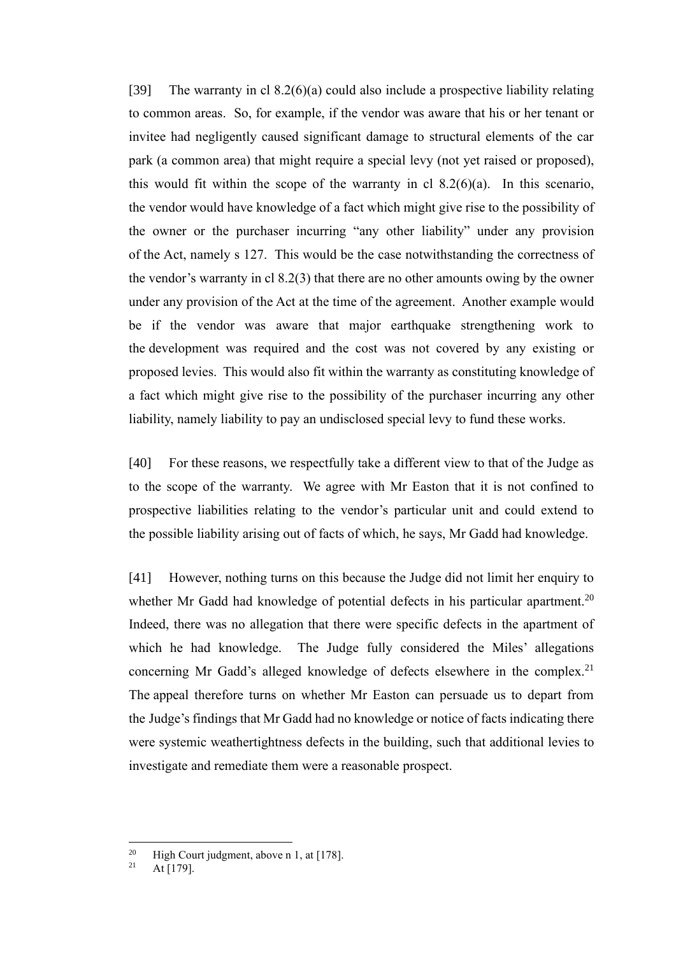[39] The warranty in cl  $8.2(6)(a)$  could also include a prospective liability relating to common areas. So, for example, if the vendor was aware that his or her tenant or invitee had negligently caused significant damage to structural elements of the car park (a common area) that might require a special levy (not yet raised or proposed), this would fit within the scope of the warranty in cl  $8.2(6)(a)$ . In this scenario, the vendor would have knowledge of a fact which might give rise to the possibility of the owner or the purchaser incurring "any other liability" under any provision of the Act, namely s 127. This would be the case notwithstanding the correctness of the vendor's warranty in cl 8.2(3) that there are no other amounts owing by the owner under any provision of the Act at the time of the agreement. Another example would be if the vendor was aware that major earthquake strengthening work to the development was required and the cost was not covered by any existing or proposed levies. This would also fit within the warranty as constituting knowledge of a fact which might give rise to the possibility of the purchaser incurring any other liability, namely liability to pay an undisclosed special levy to fund these works.

[40] For these reasons, we respectfully take a different view to that of the Judge as to the scope of the warranty. We agree with Mr Easton that it is not confined to prospective liabilities relating to the vendor's particular unit and could extend to the possible liability arising out of facts of which, he says, Mr Gadd had knowledge.

[41] However, nothing turns on this because the Judge did not limit her enquiry to whether Mr Gadd had knowledge of potential defects in his particular apartment.<sup>20</sup> Indeed, there was no allegation that there were specific defects in the apartment of which he had knowledge. The Judge fully considered the Miles' allegations concerning Mr Gadd's alleged knowledge of defects elsewhere in the complex.<sup>21</sup> The appeal therefore turns on whether Mr Easton can persuade us to depart from the Judge's findings that Mr Gadd had no knowledge or notice of facts indicating there were systemic weathertightness defects in the building, such that additional levies to investigate and remediate them were a reasonable prospect.

<sup>&</sup>lt;sup>20</sup> High Court judgment, above n 1, at [178].

 $At [179]$ .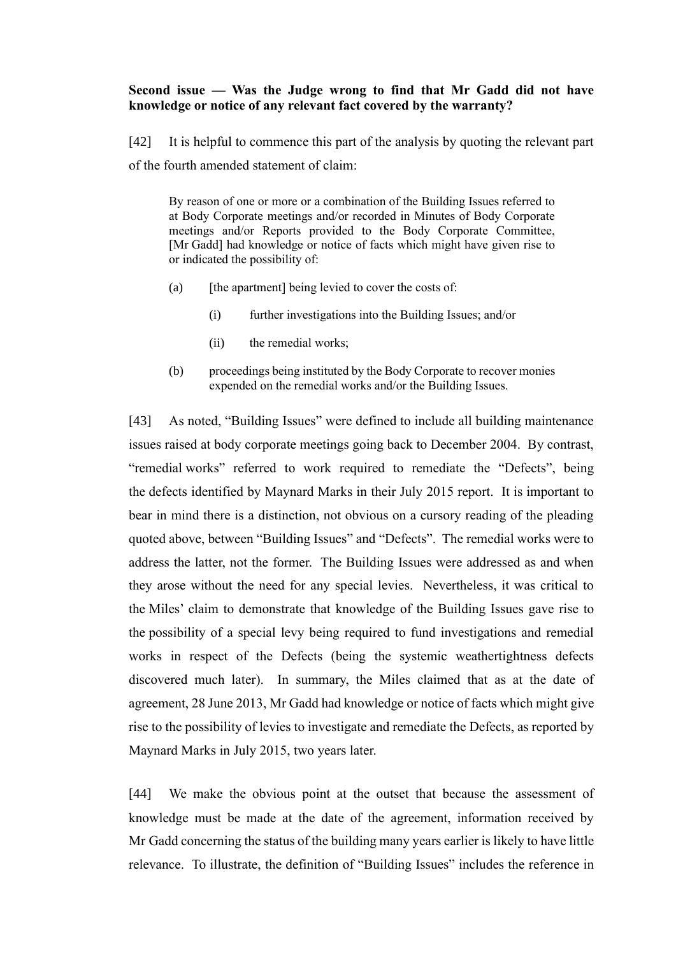### **Second issue — Was the Judge wrong to find that Mr Gadd did not have knowledge or notice of any relevant fact covered by the warranty?**

[42] It is helpful to commence this part of the analysis by quoting the relevant part of the fourth amended statement of claim:

By reason of one or more or a combination of the Building Issues referred to at Body Corporate meetings and/or recorded in Minutes of Body Corporate meetings and/or Reports provided to the Body Corporate Committee, [Mr Gadd] had knowledge or notice of facts which might have given rise to or indicated the possibility of:

- (a) [the apartment] being levied to cover the costs of:
	- (i) further investigations into the Building Issues; and/or
	- (ii) the remedial works;
- (b) proceedings being instituted by the Body Corporate to recover monies expended on the remedial works and/or the Building Issues.

[43] As noted, "Building Issues" were defined to include all building maintenance issues raised at body corporate meetings going back to December 2004. By contrast, "remedial works" referred to work required to remediate the "Defects", being the defects identified by Maynard Marks in their July 2015 report. It is important to bear in mind there is a distinction, not obvious on a cursory reading of the pleading quoted above, between "Building Issues" and "Defects". The remedial works were to address the latter, not the former. The Building Issues were addressed as and when they arose without the need for any special levies. Nevertheless, it was critical to the Miles' claim to demonstrate that knowledge of the Building Issues gave rise to the possibility of a special levy being required to fund investigations and remedial works in respect of the Defects (being the systemic weathertightness defects discovered much later). In summary, the Miles claimed that as at the date of agreement, 28 June 2013, Mr Gadd had knowledge or notice of facts which might give rise to the possibility of levies to investigate and remediate the Defects, as reported by Maynard Marks in July 2015, two years later.

[44] We make the obvious point at the outset that because the assessment of knowledge must be made at the date of the agreement, information received by Mr Gadd concerning the status of the building many years earlier is likely to have little relevance. To illustrate, the definition of "Building Issues" includes the reference in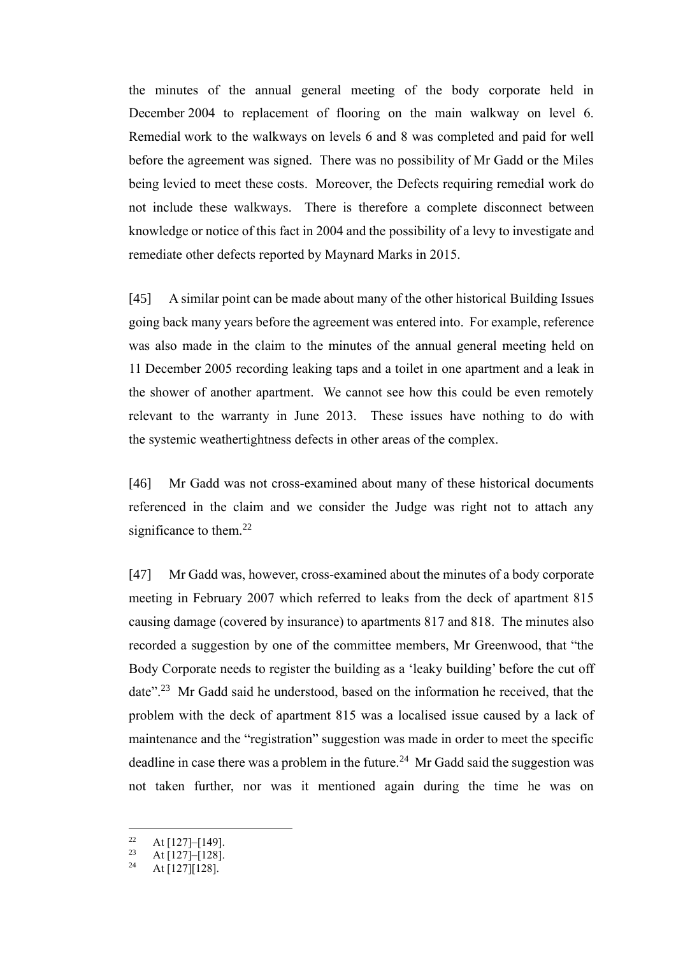the minutes of the annual general meeting of the body corporate held in December 2004 to replacement of flooring on the main walkway on level 6. Remedial work to the walkways on levels 6 and 8 was completed and paid for well before the agreement was signed. There was no possibility of Mr Gadd or the Miles being levied to meet these costs. Moreover, the Defects requiring remedial work do not include these walkways. There is therefore a complete disconnect between knowledge or notice of this fact in 2004 and the possibility of a levy to investigate and remediate other defects reported by Maynard Marks in 2015.

[45] A similar point can be made about many of the other historical Building Issues going back many years before the agreement was entered into. For example, reference was also made in the claim to the minutes of the annual general meeting held on 11 December 2005 recording leaking taps and a toilet in one apartment and a leak in the shower of another apartment. We cannot see how this could be even remotely relevant to the warranty in June 2013. These issues have nothing to do with the systemic weathertightness defects in other areas of the complex.

[46] Mr Gadd was not cross-examined about many of these historical documents referenced in the claim and we consider the Judge was right not to attach any significance to them. $^{22}$ 

[47] Mr Gadd was, however, cross-examined about the minutes of a body corporate meeting in February 2007 which referred to leaks from the deck of apartment 815 causing damage (covered by insurance) to apartments 817 and 818. The minutes also recorded a suggestion by one of the committee members, Mr Greenwood, that "the Body Corporate needs to register the building as a 'leaky building' before the cut off date".<sup>23</sup> Mr Gadd said he understood, based on the information he received, that the problem with the deck of apartment 815 was a localised issue caused by a lack of maintenance and the "registration" suggestion was made in order to meet the specific deadline in case there was a problem in the future.<sup>24</sup> Mr Gadd said the suggestion was not taken further, nor was it mentioned again during the time he was on

<sup>&</sup>lt;sup>22</sup> At [127] – [149].

<sup>&</sup>lt;sup>23</sup> At [127]–[128].

 $At [127][128]$ .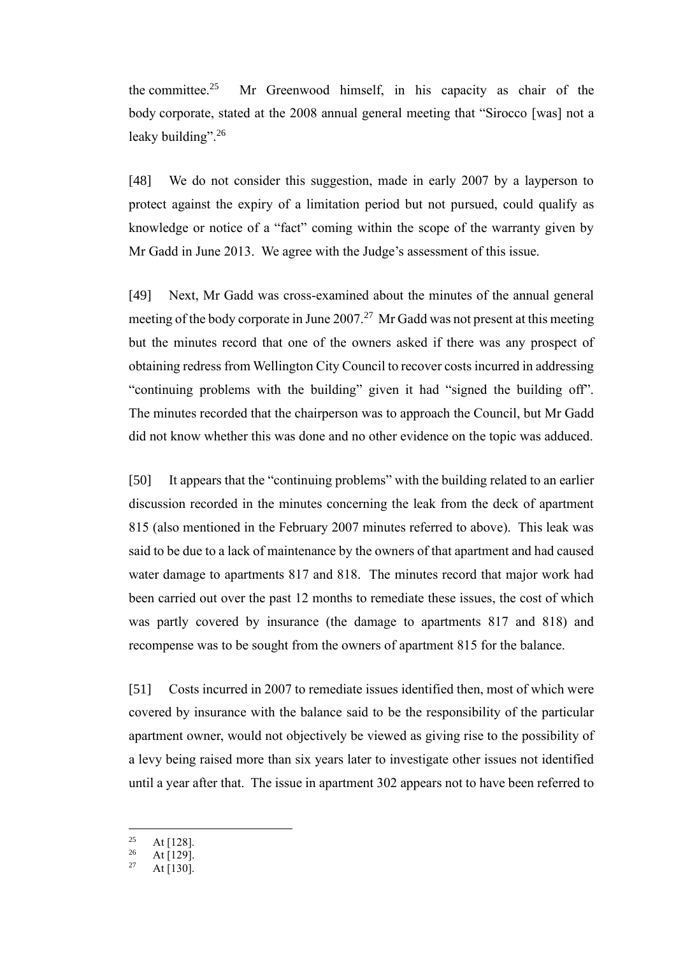the committee. $25$  Mr Greenwood himself, in his capacity as chair of the body corporate, stated at the 2008 annual general meeting that "Sirocco [was] not a leaky building".<sup>26</sup>

[48] We do not consider this suggestion, made in early 2007 by a layperson to protect against the expiry of a limitation period but not pursued, could qualify as knowledge or notice of a "fact" coming within the scope of the warranty given by Mr Gadd in June 2013. We agree with the Judge's assessment of this issue.

[49] Next, Mr Gadd was cross-examined about the minutes of the annual general meeting of the body corporate in June 2007.<sup>27</sup> Mr Gadd was not present at this meeting but the minutes record that one of the owners asked if there was any prospect of obtaining redress from Wellington City Council to recover costs incurred in addressing "continuing problems with the building" given it had "signed the building off". The minutes recorded that the chairperson was to approach the Council, but Mr Gadd did not know whether this was done and no other evidence on the topic was adduced.

[50] It appears that the "continuing problems" with the building related to an earlier discussion recorded in the minutes concerning the leak from the deck of apartment 815 (also mentioned in the February 2007 minutes referred to above). This leak was said to be due to a lack of maintenance by the owners of that apartment and had caused water damage to apartments 817 and 818. The minutes record that major work had been carried out over the past 12 months to remediate these issues, the cost of which was partly covered by insurance (the damage to apartments 817 and 818) and recompense was to be sought from the owners of apartment 815 for the balance.

[51] Costs incurred in 2007 to remediate issues identified then, most of which were covered by insurance with the balance said to be the responsibility of the particular apartment owner, would not objectively be viewed as giving rise to the possibility of a levy being raised more than six years later to investigate other issues not identified until a year after that. The issue in apartment 302 appears not to have been referred to

<sup>&</sup>lt;sup>25</sup> At [128].

 $\frac{26}{27}$  At [129]. At  $[130]$ .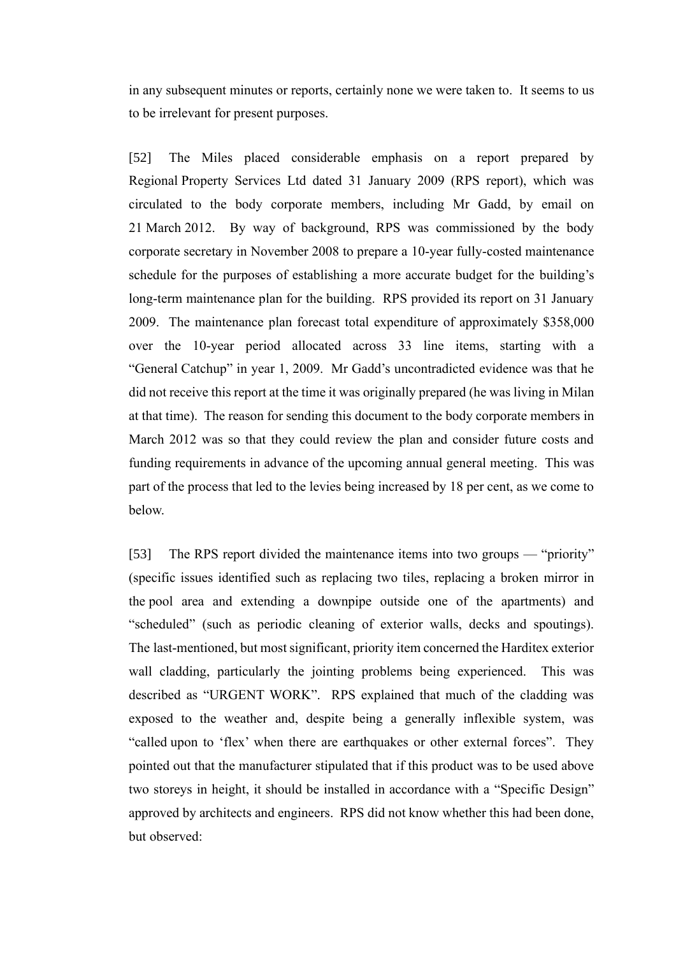in any subsequent minutes or reports, certainly none we were taken to. It seems to us to be irrelevant for present purposes.

[52] The Miles placed considerable emphasis on a report prepared by Regional Property Services Ltd dated 31 January 2009 (RPS report), which was circulated to the body corporate members, including Mr Gadd, by email on 21 March 2012. By way of background, RPS was commissioned by the body corporate secretary in November 2008 to prepare a 10-year fully-costed maintenance schedule for the purposes of establishing a more accurate budget for the building's long-term maintenance plan for the building. RPS provided its report on 31 January 2009. The maintenance plan forecast total expenditure of approximately \$358,000 over the 10-year period allocated across 33 line items, starting with a "General Catchup" in year 1, 2009. Mr Gadd's uncontradicted evidence was that he did not receive this report at the time it was originally prepared (he was living in Milan at that time). The reason for sending this document to the body corporate members in March 2012 was so that they could review the plan and consider future costs and funding requirements in advance of the upcoming annual general meeting. This was part of the process that led to the levies being increased by 18 per cent, as we come to below.

[53] The RPS report divided the maintenance items into two groups — "priority" (specific issues identified such as replacing two tiles, replacing a broken mirror in the pool area and extending a downpipe outside one of the apartments) and "scheduled" (such as periodic cleaning of exterior walls, decks and spoutings). The last-mentioned, but most significant, priority item concerned the Harditex exterior wall cladding, particularly the jointing problems being experienced. This was described as "URGENT WORK". RPS explained that much of the cladding was exposed to the weather and, despite being a generally inflexible system, was "called upon to 'flex' when there are earthquakes or other external forces". They pointed out that the manufacturer stipulated that if this product was to be used above two storeys in height, it should be installed in accordance with a "Specific Design" approved by architects and engineers. RPS did not know whether this had been done, but observed: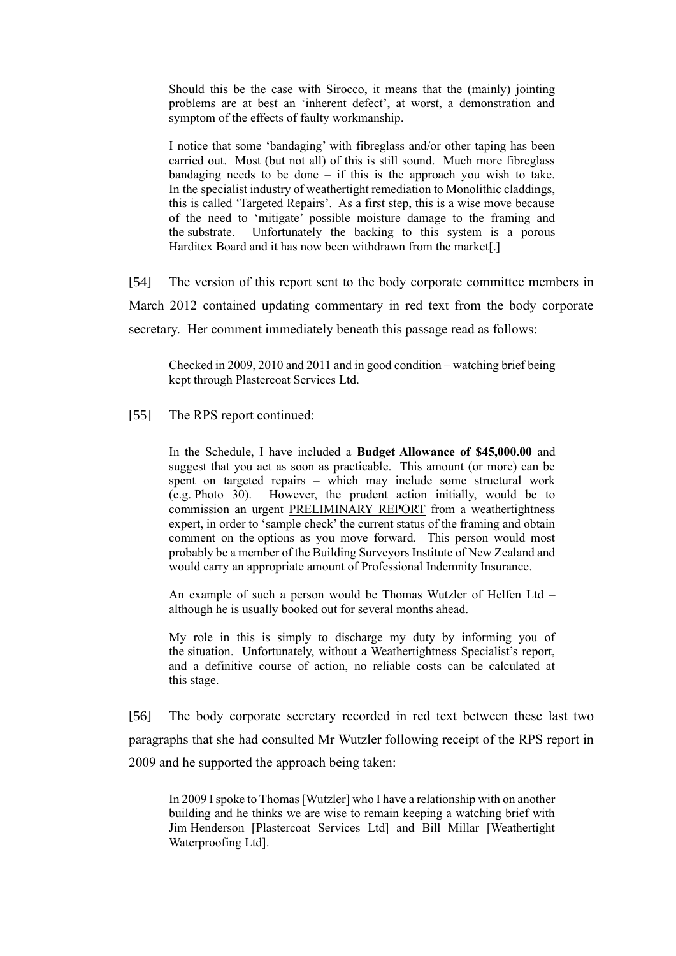Should this be the case with Sirocco, it means that the (mainly) jointing problems are at best an 'inherent defect', at worst, a demonstration and symptom of the effects of faulty workmanship.

I notice that some 'bandaging' with fibreglass and/or other taping has been carried out. Most (but not all) of this is still sound. Much more fibreglass bandaging needs to be done  $-$  if this is the approach you wish to take. In the specialist industry of weathertight remediation to Monolithic claddings, this is called 'Targeted Repairs'. As a first step, this is a wise move because of the need to 'mitigate' possible moisture damage to the framing and the substrate. Unfortunately the backing to this system is a porous Harditex Board and it has now been withdrawn from the market[.]

[54] The version of this report sent to the body corporate committee members in

March 2012 contained updating commentary in red text from the body corporate

secretary. Her comment immediately beneath this passage read as follows:

Checked in 2009, 2010 and 2011 and in good condition – watching brief being kept through Plastercoat Services Ltd.

[55] The RPS report continued:

In the Schedule, I have included a **Budget Allowance of \$45,000.00** and suggest that you act as soon as practicable. This amount (or more) can be spent on targeted repairs – which may include some structural work (e.g. Photo 30). However, the prudent action initially, would be to commission an urgent PRELIMINARY REPORT from a weathertightness expert, in order to 'sample check' the current status of the framing and obtain comment on the options as you move forward. This person would most probably be a member of the Building Surveyors Institute of New Zealand and would carry an appropriate amount of Professional Indemnity Insurance.

An example of such a person would be Thomas Wutzler of Helfen Ltd – although he is usually booked out for several months ahead.

My role in this is simply to discharge my duty by informing you of the situation. Unfortunately, without a Weathertightness Specialist's report, and a definitive course of action, no reliable costs can be calculated at this stage.

[56] The body corporate secretary recorded in red text between these last two paragraphs that she had consulted Mr Wutzler following receipt of the RPS report in 2009 and he supported the approach being taken:

In 2009 I spoke to Thomas [Wutzler] who I have a relationship with on another building and he thinks we are wise to remain keeping a watching brief with Jim Henderson [Plastercoat Services Ltd] and Bill Millar [Weathertight Waterproofing Ltd].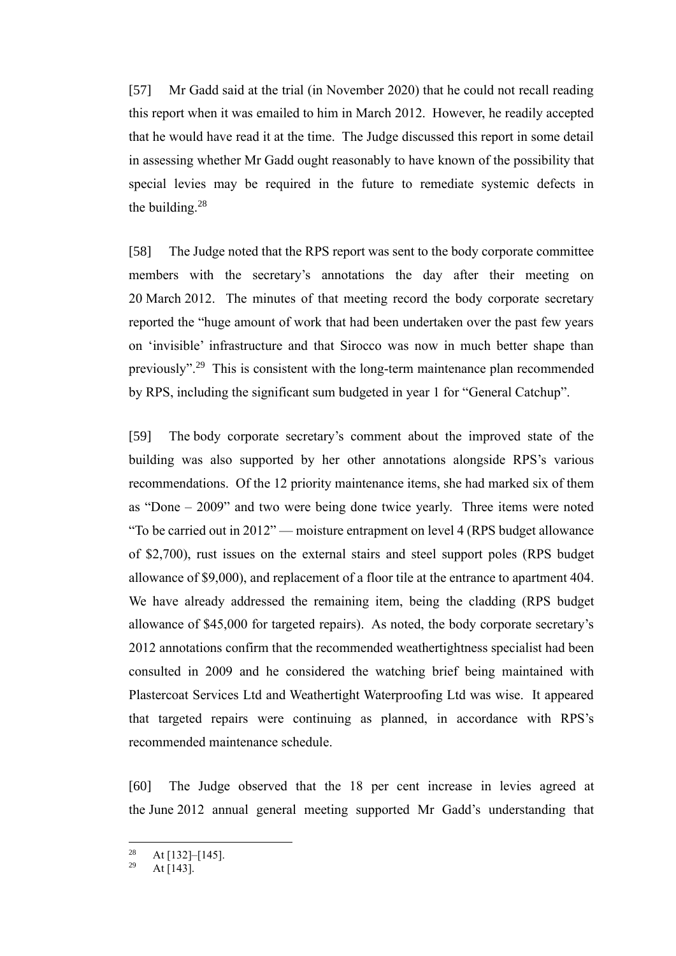[57] Mr Gadd said at the trial (in November 2020) that he could not recall reading this report when it was emailed to him in March 2012. However, he readily accepted that he would have read it at the time. The Judge discussed this report in some detail in assessing whether Mr Gadd ought reasonably to have known of the possibility that special levies may be required in the future to remediate systemic defects in the building. $28$ 

[58] The Judge noted that the RPS report was sent to the body corporate committee members with the secretary's annotations the day after their meeting on 20 March 2012. The minutes of that meeting record the body corporate secretary reported the "huge amount of work that had been undertaken over the past few years on 'invisible' infrastructure and that Sirocco was now in much better shape than previously".<sup>29</sup> This is consistent with the long-term maintenance plan recommended by RPS, including the significant sum budgeted in year 1 for "General Catchup".

[59] The body corporate secretary's comment about the improved state of the building was also supported by her other annotations alongside RPS's various recommendations. Of the 12 priority maintenance items, she had marked six of them as "Done – 2009" and two were being done twice yearly. Three items were noted "To be carried out in 2012" — moisture entrapment on level 4 (RPS budget allowance of \$2,700), rust issues on the external stairs and steel support poles (RPS budget allowance of \$9,000), and replacement of a floor tile at the entrance to apartment 404. We have already addressed the remaining item, being the cladding (RPS budget allowance of \$45,000 for targeted repairs). As noted, the body corporate secretary's 2012 annotations confirm that the recommended weathertightness specialist had been consulted in 2009 and he considered the watching brief being maintained with Plastercoat Services Ltd and Weathertight Waterproofing Ltd was wise. It appeared that targeted repairs were continuing as planned, in accordance with RPS's recommended maintenance schedule.

[60] The Judge observed that the 18 per cent increase in levies agreed at the June 2012 annual general meeting supported Mr Gadd's understanding that

<sup>&</sup>lt;sup>28</sup> At [132]–[145].

At  $\overline{[143]}$ .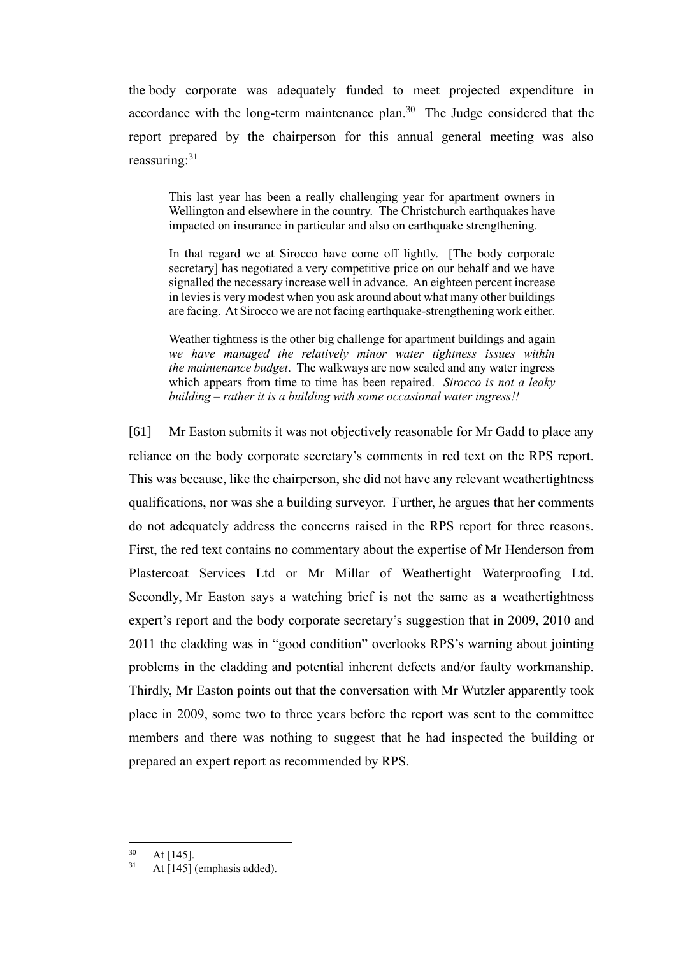the body corporate was adequately funded to meet projected expenditure in accordance with the long-term maintenance plan. $30$  The Judge considered that the report prepared by the chairperson for this annual general meeting was also reassuring: $31$ 

This last year has been a really challenging year for apartment owners in Wellington and elsewhere in the country. The Christchurch earthquakes have impacted on insurance in particular and also on earthquake strengthening.

In that regard we at Sirocco have come off lightly. [The body corporate secretary] has negotiated a very competitive price on our behalf and we have signalled the necessary increase well in advance. An eighteen percent increase in levies is very modest when you ask around about what many other buildings are facing. At Sirocco we are not facing earthquake-strengthening work either.

Weather tightness is the other big challenge for apartment buildings and again *we have managed the relatively minor water tightness issues within the maintenance budget*. The walkways are now sealed and any water ingress which appears from time to time has been repaired. *Sirocco is not a leaky building – rather it is a building with some occasional water ingress!!*

[61] Mr Easton submits it was not objectively reasonable for Mr Gadd to place any reliance on the body corporate secretary's comments in red text on the RPS report. This was because, like the chairperson, she did not have any relevant weathertightness qualifications, nor was she a building surveyor. Further, he argues that her comments do not adequately address the concerns raised in the RPS report for three reasons. First, the red text contains no commentary about the expertise of Mr Henderson from Plastercoat Services Ltd or Mr Millar of Weathertight Waterproofing Ltd. Secondly, Mr Easton says a watching brief is not the same as a weathertightness expert's report and the body corporate secretary's suggestion that in 2009, 2010 and 2011 the cladding was in "good condition" overlooks RPS's warning about jointing problems in the cladding and potential inherent defects and/or faulty workmanship. Thirdly, Mr Easton points out that the conversation with Mr Wutzler apparently took place in 2009, some two to three years before the report was sent to the committee members and there was nothing to suggest that he had inspected the building or prepared an expert report as recommended by RPS.

 $rac{30}{31}$  At [145].

At [145] (emphasis added).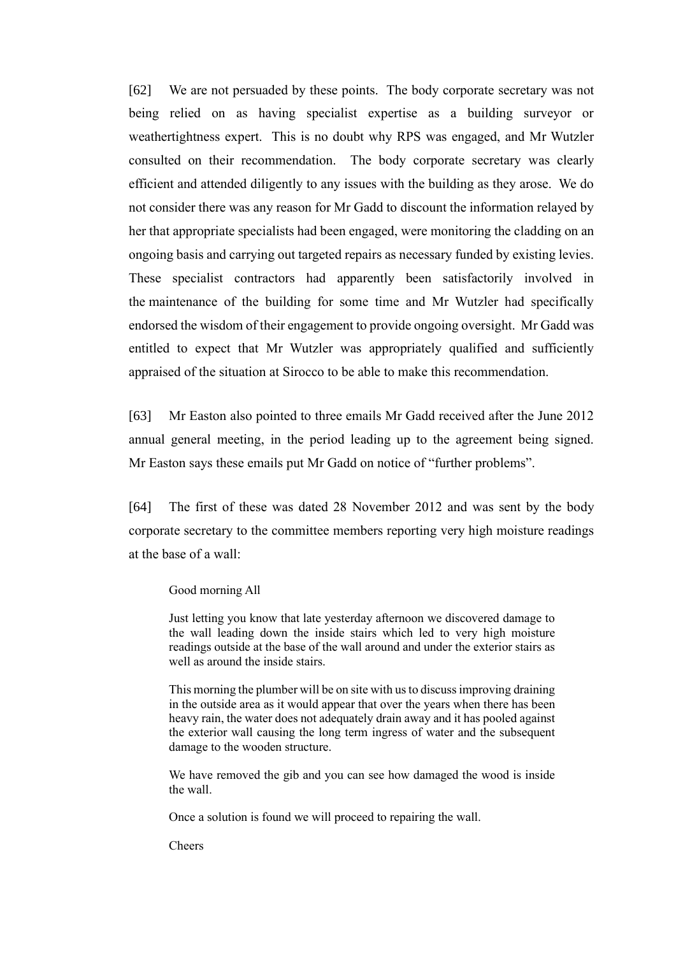[62] We are not persuaded by these points. The body corporate secretary was not being relied on as having specialist expertise as a building surveyor or weathertightness expert. This is no doubt why RPS was engaged, and Mr Wutzler consulted on their recommendation. The body corporate secretary was clearly efficient and attended diligently to any issues with the building as they arose. We do not consider there was any reason for Mr Gadd to discount the information relayed by her that appropriate specialists had been engaged, were monitoring the cladding on an ongoing basis and carrying out targeted repairs as necessary funded by existing levies. These specialist contractors had apparently been satisfactorily involved in the maintenance of the building for some time and Mr Wutzler had specifically endorsed the wisdom of their engagement to provide ongoing oversight. Mr Gadd was entitled to expect that Mr Wutzler was appropriately qualified and sufficiently appraised of the situation at Sirocco to be able to make this recommendation.

[63] Mr Easton also pointed to three emails Mr Gadd received after the June 2012 annual general meeting, in the period leading up to the agreement being signed. Mr Easton says these emails put Mr Gadd on notice of "further problems".

[64] The first of these was dated 28 November 2012 and was sent by the body corporate secretary to the committee members reporting very high moisture readings at the base of a wall:

#### Good morning All

Just letting you know that late yesterday afternoon we discovered damage to the wall leading down the inside stairs which led to very high moisture readings outside at the base of the wall around and under the exterior stairs as well as around the inside stairs.

This morning the plumber will be on site with us to discuss improving draining in the outside area as it would appear that over the years when there has been heavy rain, the water does not adequately drain away and it has pooled against the exterior wall causing the long term ingress of water and the subsequent damage to the wooden structure.

We have removed the gib and you can see how damaged the wood is inside the wall.

Once a solution is found we will proceed to repairing the wall.

Cheers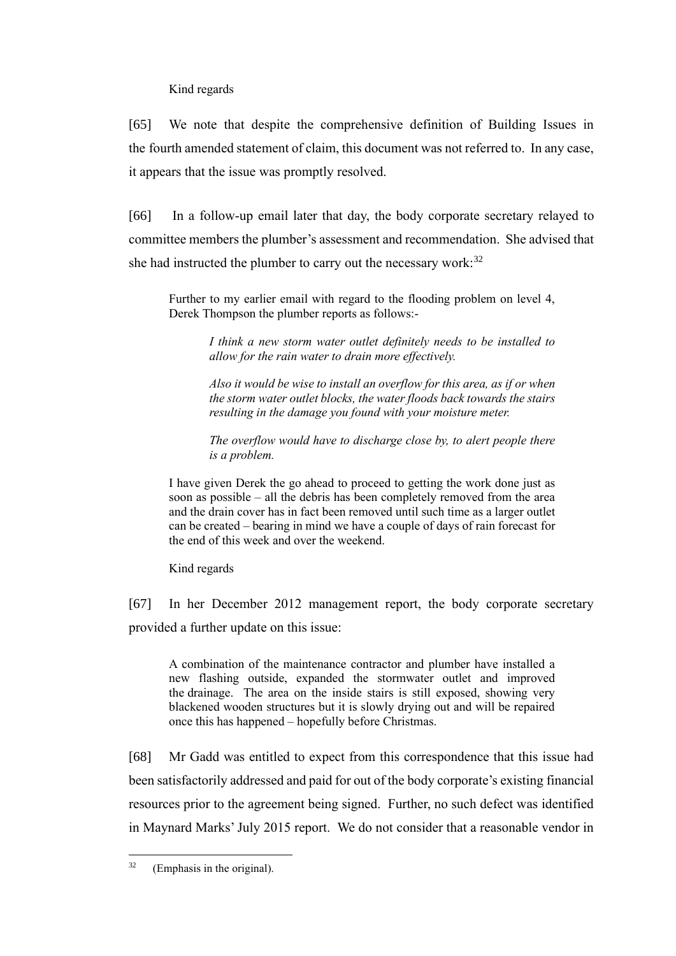Kind regards

[65] We note that despite the comprehensive definition of Building Issues in the fourth amended statement of claim, this document was not referred to. In any case, it appears that the issue was promptly resolved.

[66] In a follow-up email later that day, the body corporate secretary relayed to committee members the plumber's assessment and recommendation. She advised that she had instructed the plumber to carry out the necessary work: $32$ 

Further to my earlier email with regard to the flooding problem on level 4, Derek Thompson the plumber reports as follows:-

> *I think a new storm water outlet definitely needs to be installed to allow for the rain water to drain more effectively.*

> *Also it would be wise to install an overflow for this area, as if or when the storm water outlet blocks, the water floods back towards the stairs resulting in the damage you found with your moisture meter.*

> *The overflow would have to discharge close by, to alert people there is a problem.*

I have given Derek the go ahead to proceed to getting the work done just as soon as possible – all the debris has been completely removed from the area and the drain cover has in fact been removed until such time as a larger outlet can be created – bearing in mind we have a couple of days of rain forecast for the end of this week and over the weekend.

Kind regards

[67] In her December 2012 management report, the body corporate secretary provided a further update on this issue:

A combination of the maintenance contractor and plumber have installed a new flashing outside, expanded the stormwater outlet and improved the drainage. The area on the inside stairs is still exposed, showing very blackened wooden structures but it is slowly drying out and will be repaired once this has happened – hopefully before Christmas.

[68] Mr Gadd was entitled to expect from this correspondence that this issue had been satisfactorily addressed and paid for out of the body corporate's existing financial resources prior to the agreement being signed. Further, no such defect was identified in Maynard Marks' July 2015 report. We do not consider that a reasonable vendor in

 $32$  (Emphasis in the original).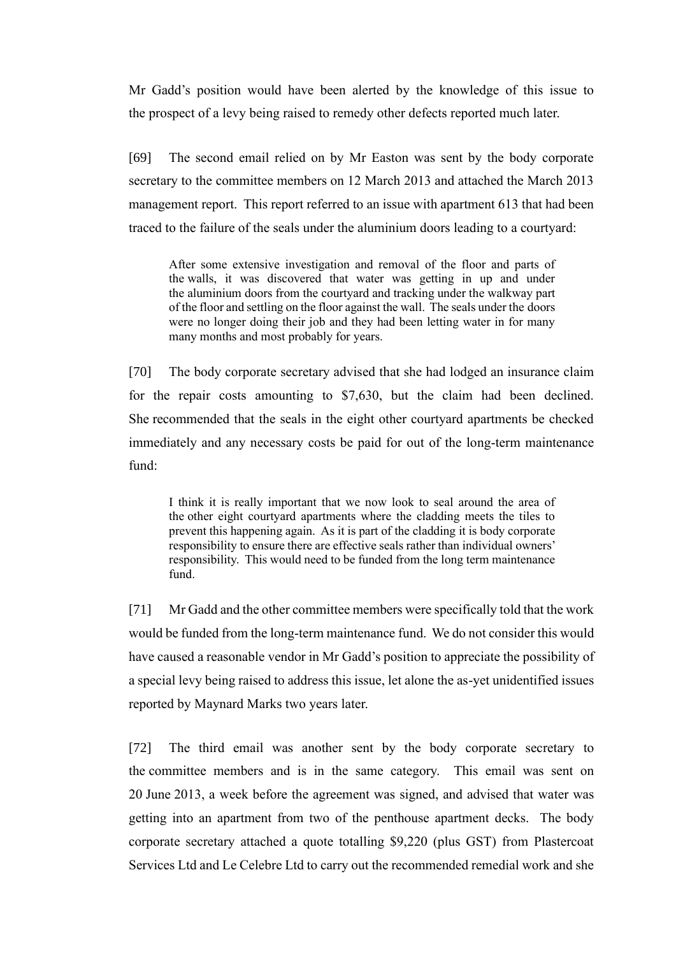Mr Gadd's position would have been alerted by the knowledge of this issue to the prospect of a levy being raised to remedy other defects reported much later.

[69] The second email relied on by Mr Easton was sent by the body corporate secretary to the committee members on 12 March 2013 and attached the March 2013 management report. This report referred to an issue with apartment 613 that had been traced to the failure of the seals under the aluminium doors leading to a courtyard:

After some extensive investigation and removal of the floor and parts of the walls, it was discovered that water was getting in up and under the aluminium doors from the courtyard and tracking under the walkway part of the floor and settling on the floor against the wall. The seals under the doors were no longer doing their job and they had been letting water in for many many months and most probably for years.

[70] The body corporate secretary advised that she had lodged an insurance claim for the repair costs amounting to \$7,630, but the claim had been declined. She recommended that the seals in the eight other courtyard apartments be checked immediately and any necessary costs be paid for out of the long-term maintenance fund:

I think it is really important that we now look to seal around the area of the other eight courtyard apartments where the cladding meets the tiles to prevent this happening again. As it is part of the cladding it is body corporate responsibility to ensure there are effective seals rather than individual owners' responsibility. This would need to be funded from the long term maintenance fund.

[71] Mr Gadd and the other committee members were specifically told that the work would be funded from the long-term maintenance fund. We do not consider this would have caused a reasonable vendor in Mr Gadd's position to appreciate the possibility of a special levy being raised to address this issue, let alone the as-yet unidentified issues reported by Maynard Marks two years later.

[72] The third email was another sent by the body corporate secretary to the committee members and is in the same category. This email was sent on 20 June 2013, a week before the agreement was signed, and advised that water was getting into an apartment from two of the penthouse apartment decks. The body corporate secretary attached a quote totalling \$9,220 (plus GST) from Plastercoat Services Ltd and Le Celebre Ltd to carry out the recommended remedial work and she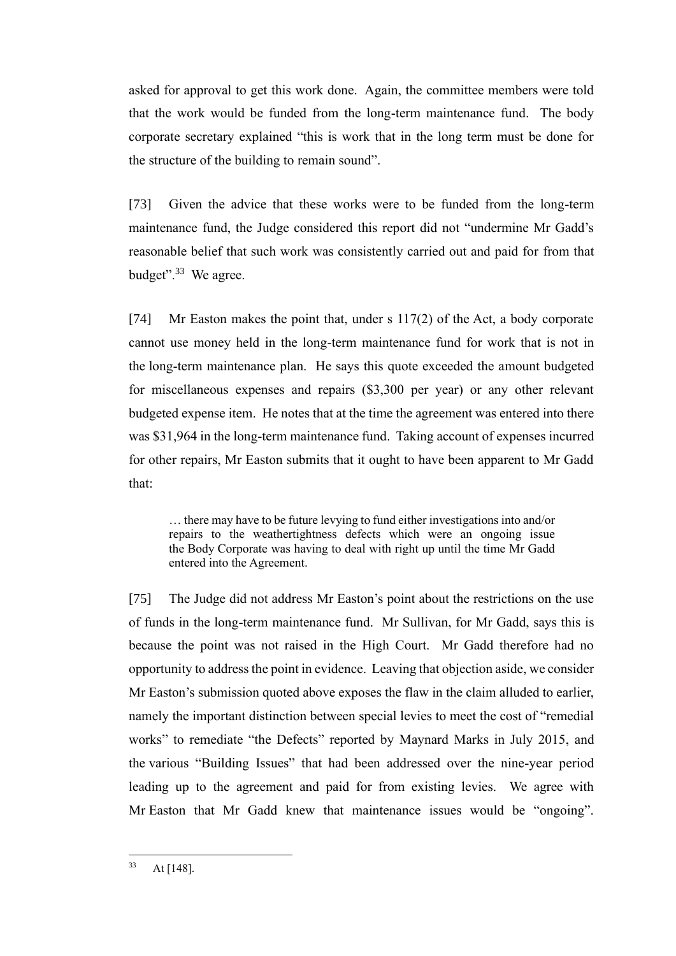asked for approval to get this work done. Again, the committee members were told that the work would be funded from the long-term maintenance fund. The body corporate secretary explained "this is work that in the long term must be done for the structure of the building to remain sound".

[73] Given the advice that these works were to be funded from the long-term maintenance fund, the Judge considered this report did not "undermine Mr Gadd's reasonable belief that such work was consistently carried out and paid for from that budget".<sup>33</sup> We agree.

[74] Mr Easton makes the point that, under s 117(2) of the Act, a body corporate cannot use money held in the long-term maintenance fund for work that is not in the long-term maintenance plan. He says this quote exceeded the amount budgeted for miscellaneous expenses and repairs (\$3,300 per year) or any other relevant budgeted expense item. He notes that at the time the agreement was entered into there was \$31,964 in the long-term maintenance fund. Taking account of expenses incurred for other repairs, Mr Easton submits that it ought to have been apparent to Mr Gadd that:

… there may have to be future levying to fund either investigations into and/or repairs to the weathertightness defects which were an ongoing issue the Body Corporate was having to deal with right up until the time Mr Gadd entered into the Agreement.

[75] The Judge did not address Mr Easton's point about the restrictions on the use of funds in the long-term maintenance fund. Mr Sullivan, for Mr Gadd, says this is because the point was not raised in the High Court. Mr Gadd therefore had no opportunity to address the point in evidence. Leaving that objection aside, we consider Mr Easton's submission quoted above exposes the flaw in the claim alluded to earlier, namely the important distinction between special levies to meet the cost of "remedial works" to remediate "the Defects" reported by Maynard Marks in July 2015, and the various "Building Issues" that had been addressed over the nine-year period leading up to the agreement and paid for from existing levies. We agree with Mr Easton that Mr Gadd knew that maintenance issues would be "ongoing".

 $33$  At [148].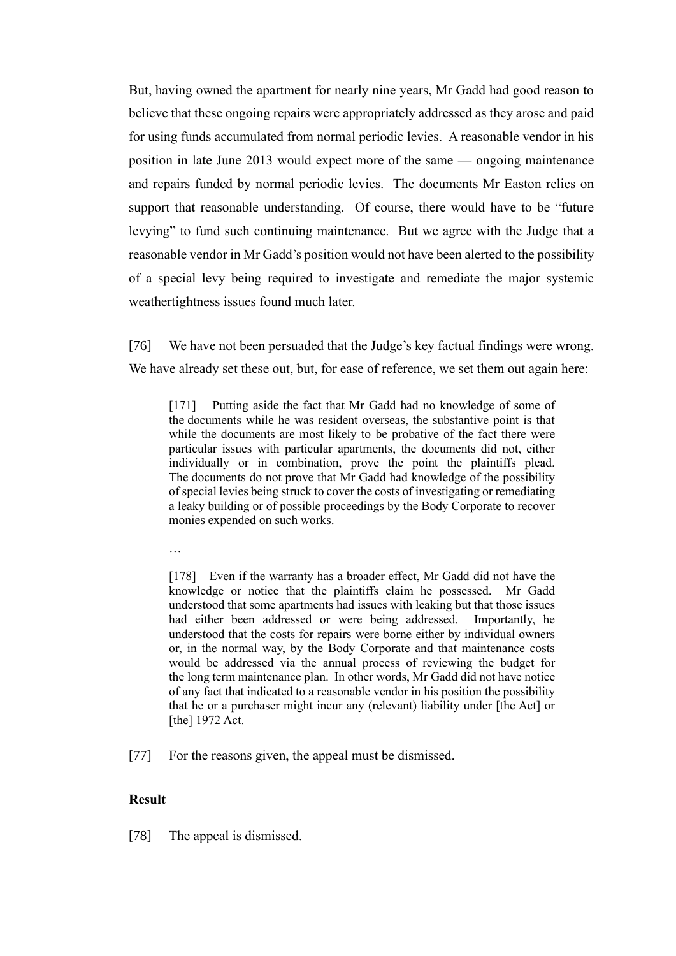But, having owned the apartment for nearly nine years, Mr Gadd had good reason to believe that these ongoing repairs were appropriately addressed as they arose and paid for using funds accumulated from normal periodic levies. A reasonable vendor in his position in late June 2013 would expect more of the same — ongoing maintenance and repairs funded by normal periodic levies. The documents Mr Easton relies on support that reasonable understanding. Of course, there would have to be "future levying" to fund such continuing maintenance. But we agree with the Judge that a reasonable vendor in Mr Gadd's position would not have been alerted to the possibility of a special levy being required to investigate and remediate the major systemic weathertightness issues found much later.

[76] We have not been persuaded that the Judge's key factual findings were wrong. We have already set these out, but, for ease of reference, we set them out again here:

[171] Putting aside the fact that Mr Gadd had no knowledge of some of the documents while he was resident overseas, the substantive point is that while the documents are most likely to be probative of the fact there were particular issues with particular apartments, the documents did not, either individually or in combination, prove the point the plaintiffs plead. The documents do not prove that Mr Gadd had knowledge of the possibility of special levies being struck to cover the costs of investigating or remediating a leaky building or of possible proceedings by the Body Corporate to recover monies expended on such works.

…

[178] Even if the warranty has a broader effect, Mr Gadd did not have the knowledge or notice that the plaintiffs claim he possessed. Mr Gadd understood that some apartments had issues with leaking but that those issues had either been addressed or were being addressed. Importantly, he understood that the costs for repairs were borne either by individual owners or, in the normal way, by the Body Corporate and that maintenance costs would be addressed via the annual process of reviewing the budget for the long term maintenance plan. In other words, Mr Gadd did not have notice of any fact that indicated to a reasonable vendor in his position the possibility that he or a purchaser might incur any (relevant) liability under [the Act] or [the] 1972 Act.

[77] For the reasons given, the appeal must be dismissed.

#### **Result**

[78] The appeal is dismissed.